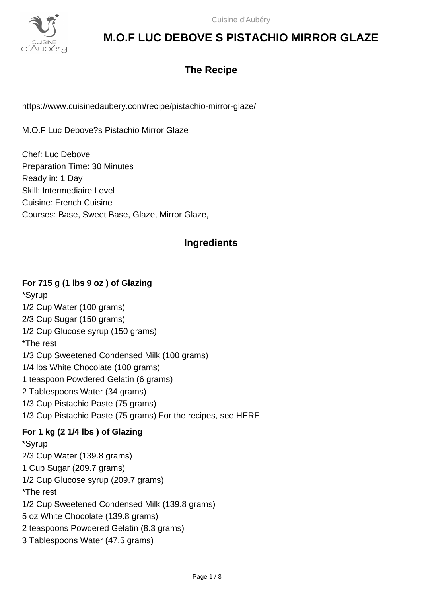

# **M.O.F LUC DEBOVE S PISTACHIO MIRROR GLAZE**

# **The Recipe**

https://www.cuisinedaubery.com/recipe/pistachio-mirror-glaze/

M.O.F Luc Debove?s Pistachio Mirror Glaze

Chef: Luc Debove Preparation Time: 30 Minutes Ready in: 1 Day Skill: Intermediaire Level Cuisine: French Cuisine Courses: Base, Sweet Base, Glaze, Mirror Glaze,

## **Ingredients**

#### **For 715 g (1 lbs 9 oz ) of Glazing**

\*Syrup 1/2 Cup Water (100 grams) 2/3 Cup Sugar (150 grams) 1/2 Cup Glucose syrup (150 grams) \*The rest 1/3 Cup Sweetened Condensed Milk (100 grams) 1/4 lbs White Chocolate (100 grams) 1 teaspoon Powdered Gelatin (6 grams) 2 Tablespoons Water (34 grams) 1/3 Cup Pistachio Paste (75 grams) 1/3 Cup Pistachio Paste (75 grams) For the recipes, see HERE **For 1 kg (2 1/4 lbs ) of Glazing** \*Syrup 2/3 Cup Water (139.8 grams) 1 Cup Sugar (209.7 grams) 1/2 Cup Glucose syrup (209.7 grams) \*The rest 1/2 Cup Sweetened Condensed Milk (139.8 grams) 5 oz White Chocolate (139.8 grams) 2 teaspoons Powdered Gelatin (8.3 grams) 3 Tablespoons Water (47.5 grams)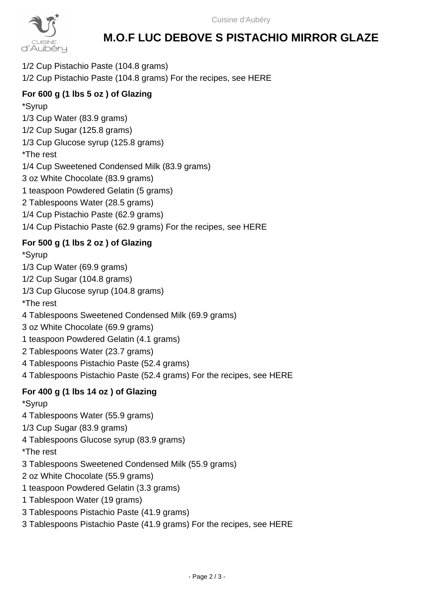

# **M.O.F LUC DEBOVE S PISTACHIO MIRROR GLAZE**

1/2 Cup Pistachio Paste (104.8 grams) 1/2 Cup Pistachio Paste (104.8 grams) For the recipes, see HERE

## **For 600 g (1 lbs 5 oz ) of Glazing**

\*Syrup 1/3 Cup Water (83.9 grams) 1/2 Cup Sugar (125.8 grams) 1/3 Cup Glucose syrup (125.8 grams) \*The rest 1/4 Cup Sweetened Condensed Milk (83.9 grams) 3 oz White Chocolate (83.9 grams) 1 teaspoon Powdered Gelatin (5 grams) 2 Tablespoons Water (28.5 grams) 1/4 Cup Pistachio Paste (62.9 grams) 1/4 Cup Pistachio Paste (62.9 grams) For the recipes, see HERE

## **For 500 g (1 lbs 2 oz ) of Glazing**

\*Syrup

1/3 Cup Water (69.9 grams)

1/2 Cup Sugar (104.8 grams)

1/3 Cup Glucose syrup (104.8 grams)

\*The rest

4 Tablespoons Sweetened Condensed Milk (69.9 grams)

3 oz White Chocolate (69.9 grams)

1 teaspoon Powdered Gelatin (4.1 grams)

2 Tablespoons Water (23.7 grams)

4 Tablespoons Pistachio Paste (52.4 grams)

4 Tablespoons Pistachio Paste (52.4 grams) For the recipes, see HERE

## **For 400 g (1 lbs 14 oz ) of Glazing**

\*Syrup

4 Tablespoons Water (55.9 grams)

1/3 Cup Sugar (83.9 grams)

4 Tablespoons Glucose syrup (83.9 grams)

\*The rest

3 Tablespoons Sweetened Condensed Milk (55.9 grams)

2 oz White Chocolate (55.9 grams)

1 teaspoon Powdered Gelatin (3.3 grams)

1 Tablespoon Water (19 grams)

3 Tablespoons Pistachio Paste (41.9 grams)

3 Tablespoons Pistachio Paste (41.9 grams) For the recipes, see HERE